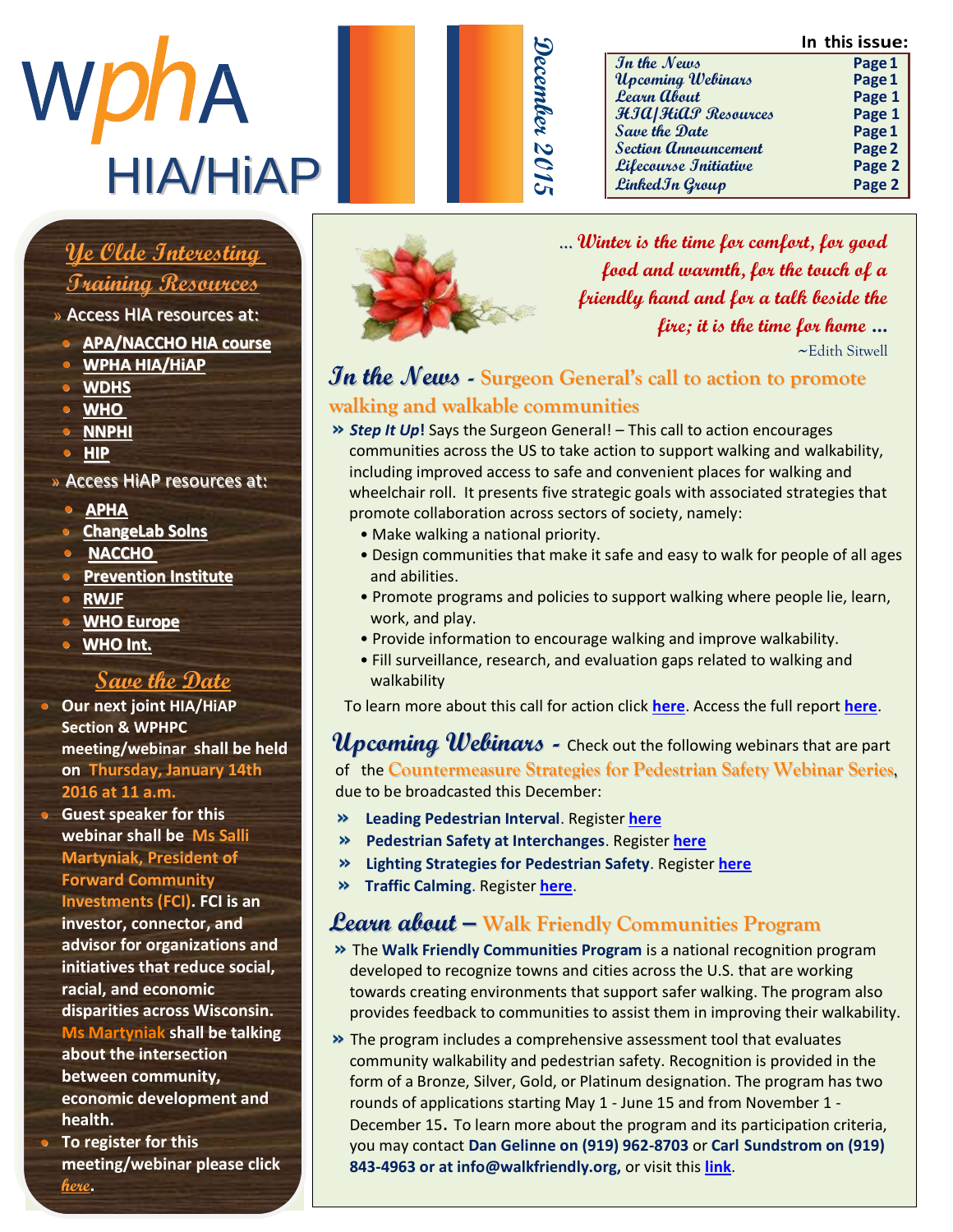**In this issue:**





| In the News                 | Page 1 |
|-----------------------------|--------|
| Upcoming Webinars           | Page 1 |
| <b>Learn about</b>          | Page 1 |
| HIA HiAP Resources          | Page 1 |
| Save the Date               | Page 1 |
| <b>Section Announcement</b> | Page 2 |
| Lifecourse Initiative       | Page 2 |
| Linked In Group             | Page 2 |
|                             |        |

## $\frac{1}{\sqrt{1-\frac{1}{2}}}\left( \frac{1}{\sqrt{1-\frac{1}{2}}}\right)$ <u>Ye Olde Interesting </u>

## <u> Training Resources</u>

- » Access HIA resources at:
- $\sim$  A b a  $\ell$  b a c c k is  $\sim$   $\sim$   $\sim$ **b** <u>APA/NACCHO</u> HIA course
	- m e [m b e r o f t h e W](http://www.wpha.org/?page=hia_library) P H A **• WPHA HIA/HiAP**
	- **[WDHS](https://www.dhs.wisconsin.gov/hia/webcasts.htm)**
	- **•** <u>WHO</u> . I n h e r o l e a s r o l e a s r o l e a s r o l e a s r o l e a s r o l e a s r o l e a s r o l e a s r o l e a s r o l e a s r o l e a s r o l e a s r o l e a s r o l e a s r o l e a s r o l e a s r o l e a
	- c o [m m u n i](https://nnphi.org/relatedarticle/nnphis-member-institutes-as-national-health-impact-assessment-hia-training-and-capacity-building-centers/) c a t i o n s o f f i c e r **• NNPHI**
	- **• HIP • HIP**

#### » Access HiAP resources at: r e s p o n s i b l e f o r

- $\frac{P}{P}$   $\frac{P}{P}$   $\frac{P}{P}$   $\frac{P}{P}$   $\frac{P}{P}$   $\frac{P}{P}$   $\frac{P}{P}$   $\frac{P}{P}$   $\frac{P}{P}$   $\frac{P}{P}$   $\frac{P}{P}$   $\frac{P}{P}$   $\frac{P}{P}$   $\frac{P}{P}$   $\frac{P}{P}$   $\frac{P}{P}$   $\frac{P}{P}$   $\frac{P}{P}$   $\frac{P}{P}$   $\frac{P}{P}$   $\frac{P}{P}$   $\frac{P}{P}$  **• [APHA](http://apha.org/topics-and-issues/healthy-communities/health-in-all-policies)**
- **0** ChangeLab Solns
- **NACCHO**
- **•** Prevention Institute
- **o** RWJF
- **8 WHO Europe**
- **•** WHO Int. h e r p u b l i c a t i o n o f t h e

### **Save the Date**

- **0** Our next joint HIA/HiAP **Section & WPHPC** meeting/webinar shall be held on Thursday, January 14th **2016 at 11 a.m.**
- **COLOGET I GALL:**<br>• Guest speaker for this H e a l t h a t h a t t h a t t h a t h a t h a t h a t h a t h a t h a t h a t h a t h a t h a t h a t h a t<br>H e Calli **webinar shall be Ms Salli Weble Martyniak, President of Forward Community Investments (FCI). FCI is an** investor, connector, and advisor for organizations and initiatives that reduce social, racial, and economic **produce** disparities across Wisconsin. **Ms Martyniak shall be talking** about the intersection **between community,** economic development and health.
- **1. Calling**<br>• To register for this A b b y ! **meeting/webinar please click [here](http://www.wpha.org/events/event_details.asp?id=691800&group=).**



... **Winter is the time for comfort, for good food and warmth, for the touch of a friendly hand and for a talk beside the fire; it is the time for home …**  $\sim$ Edith Sitwell

### **In the News - Surgeon General's call to action to promote walking and walkable communities**

- **»** *Step It Up***!** Says the Surgeon General! This call to action encourages communities across the US to take action to support walking and walkability, including improved access to safe and convenient places for walking and wheelchair roll. It presents five strategic goals with associated strategies that promote collaboration across sectors of society, namely:
	- Make walking a national priority.
	- Design communities that make it safe and easy to walk for people of all ages and abilities.
	- Promote programs and policies to support walking where people lie, learn, work, and play.
	- Provide information to encourage walking and improve walkability.
	- Fill surveillance, research, and evaluation gaps related to walking and walkability

To learn more about this call for action click **[here](http://www.surgeongeneral.gov/library/calls/walking-and-walkable-communities/index.html)**. Access the full report **[here](http://www.surgeongeneral.gov/library/calls/walking-and-walkable-communities/call-to-action-walking-and-walkable-communites.pdf)**.

**Upcoming Webinars -** Check out the following webinars that are part of the **Countermeasure Strategies for Pedestrian Safety Webinar Series**, due to be broadcasted this December:

- **» Leading Pedestrian Interval**. Register **[here](https://attendee.gotowebinar.com/register/4256882781492327681)**
- **» Pedestrian Safety at Interchanges**. Register **[here](https://attendee.gotowebinar.com/register/6685552234781869057)**
- **» Lighting Strategies for Pedestrian Safety**. Register **[here](https://attendee.gotowebinar.com/register/8173843477422113794)**
- **» Traffic Calming**. Register **[here](https://attendee.gotowebinar.com/register/5156487802336802818)**.

### **Learn about – Walk Friendly Communities Program**

- **»** The **Walk Friendly Communities Program** is a national recognition program developed to recognize towns and cities across the U.S. that are working towards creating environments that support safer walking. The program also provides feedback to communities to assist them in improving their walkability.
- **»** The program includes a comprehensive assessment tool that evaluates community walkability and pedestrian safety. Recognition is provided in the form of a Bronze, Silver, Gold, or Platinum designation. The program has two rounds of applications starting May 1 - June 15 and from November 1 - December 15. To learn more about the program and its participation criteria, you may contact **Dan Gelinne on (919) 962-8703** or **Carl Sundstrom on (919) 843-4963 or at info@walkfriendly.org,** or visit this **[link](http://www.walkfriendly.org/index.cfm)**.